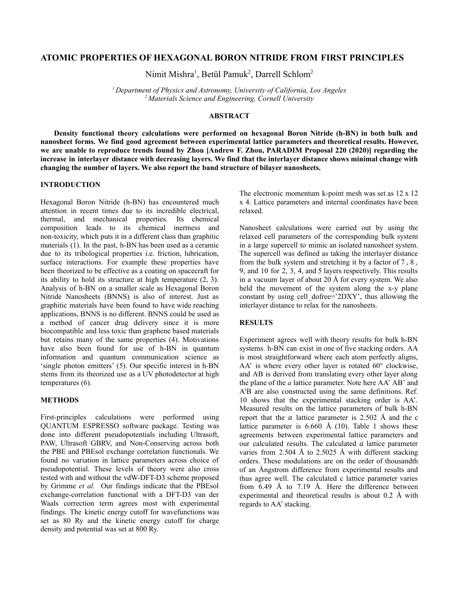## **ATOMIC PROPERTIES OF HEXAGONAL BORON NITRIDE FROM FIRST PRINCIPLES**

Nimit Mishra<sup>1</sup>, Betül Pamuk<sup>2</sup>, Darrell Schlom<sup>2</sup>

*<sup>1</sup> Department of Physics and Astronomy, University of California, Los Angeles <sup>2</sup> Materials Science and Engineering, Cornell University*

## **ABSTRACT**

**Density functional theory calculations were performed on hexagonal Boron Nitride (h-BN) in both bulk and nanosheet forms. We find good agreement between experimental lattice parameters and theoretical results. However,** we are unable to reproduce trends found by Zhou [Andrew F. Zhou, PARADIM Proposal 220 (2020)] regarding the increase in interlayer distance with decreasing layers. We find that the interlayer distance shows minimal change with **changing the number of layers. We also report the band structure of bilayer nanosheets.**

# **INTRODUCTION**

Hexagonal Boron Nitride (h-BN) has encountered much attention in recent times due to its incredible electrical, thermal, and mechanical properties. Its chemical composition leads to its chemical inertness and non-toxicity, which puts it in a different class than graphitic materials (1). In the past, h-BN has been used as a ceramic due to its tribological properties i.e. friction, lubrication, surface interactions. For example these properties have been theorized to be effective as a coating on spacecraft for its ability to hold its structure at high temperature (2, 3). Analysis of h-BN on a smaller scale as Hexagonal Boron Nitride Nanosheets (BNNS) is also of interest. Just as graphitic materials have been found to have wide reaching applications, BNNS is no different. BNNS could be used as a method of cancer drug delivery since it is more biocompatible and less toxic than graphene based materials but retains many of the same properties (4). Motivations have also been found for use of h-BN in quantum information and quantum communication science as 'single photon emitters' (5). Our specific interest in h-BN stems from its theorized use as a UV photodetector at high temperatures (6).

### **METHODS**

First-principles calculations were performed using QUANTUM ESPRESSO software package. Testing was done into different pseudopotentials including Ultrasoft, PAW, Ultrasoft GBRV, and Non-Conserving across both the PBE and PBEsol exchange correlation functionals. We found no variation in lattice parameters across choice of pseudopotential. These levels of theory were also cross tested with and without the vdW-DFT-D3 scheme proposed by Grimme *et al.* Our findings indicate that the PBEsol exchange-correlation functional with a DFT-D3 van der Waals correction term agrees most with experimental findings. The kinetic energy cutoff for wavefunctions was set as 80 Ry and the kinetic energy cutoff for charge density and potential was set at 800 Ry.

The electronic momentum k-point mesh was set as 12 x 12 x 4. Lattice parameters and internal coordinates have been relaxed.

Nanosheet calculations were carried out by using the relaxed cell parameters of the corresponding bulk system in a large supercell to mimic an isolated nanosheet system. The supercell was defined as taking the interlayer distance from the bulk system and stretching it by a factor of 7 , 8 , 9, and 10 for 2, 3, 4, and 5 layers respectively. This results in a vacuum layer of about 20 Å for every system. We also held the movement of the system along the x-y plane constant by using cell dofree='2DXY', thus allowing the interlayer distance to relax for the nanosheets.

### **RESULTS**

Experiment agrees well with theory results for bulk h-BN systems. h-BN can exist in one of five stacking orders. AA is most straightforward where each atom perfectly aligns, AA' is where every other layer is rotated 60° clockwise, and AB is derived from translating every other layer along the plane of the *a* lattice parameter. Note here AA' AB' and A'B are also constructed using the same definitions. Ref. 10 shows that the experimental stacking order is AA'. Measured results on the lattice parameters of bulk h-BN report that the  $\alpha$  lattice parameter is 2.502 Å and the c lattice parameter is  $6.660 \text{ Å}$  (10). Table 1 shows these agreements between experimental lattice parameters and our calculated results. The calculated  $a$  lattice parameter varies from 2.504 Å to 2.5025 Å with different stacking orders. These modulations are on the order of thousandth of an Ångstrom difference from experimental results and thus agree well. The calculated c lattice parameter varies from 6.49 Å to 7.19 Å. Here the difference between experimental and theoretical results is about 0.2 Å with regards to AA'stacking.